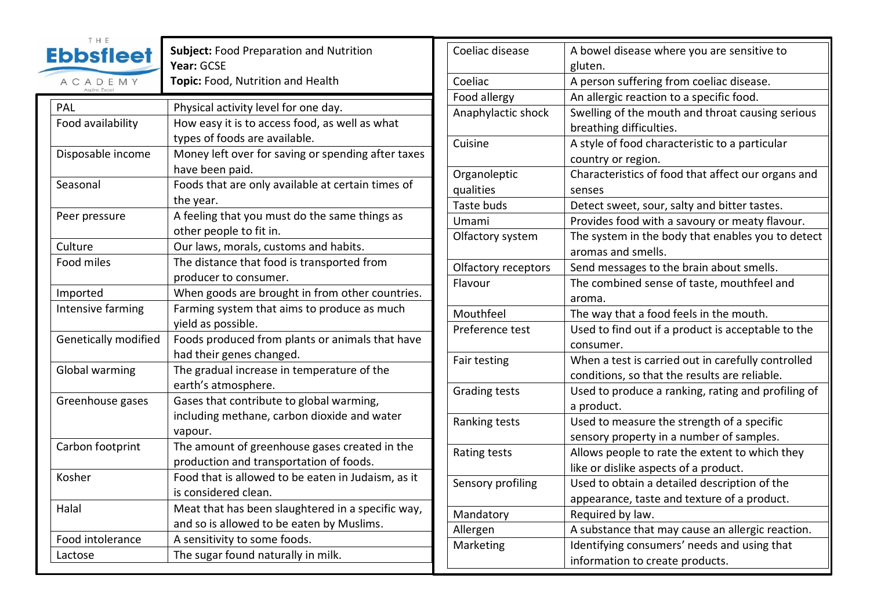| T H E<br><b>Ebbsfleet</b><br>ACADEMY<br>Aspire Excel | Subject: Food Preparation and Nutrition<br>Year: GCSE<br>Topic: Food, Nutrition and Health |
|------------------------------------------------------|--------------------------------------------------------------------------------------------|
| PAL                                                  | Physical activity level for one day.                                                       |
| Food availability                                    | How easy it is to access food, as well as what                                             |
|                                                      | types of foods are available.                                                              |
| Disposable income                                    | Money left over for saving or spending after taxes                                         |
|                                                      | have been paid.                                                                            |
| Seasonal                                             | Foods that are only available at certain times of                                          |
|                                                      | the year.                                                                                  |
| Peer pressure                                        | A feeling that you must do the same things as                                              |
|                                                      | other people to fit in.                                                                    |
| Culture                                              | Our laws, morals, customs and habits.                                                      |
| Food miles                                           | The distance that food is transported from                                                 |
|                                                      | producer to consumer.                                                                      |
| Imported                                             | When goods are brought in from other countries.                                            |
| Intensive farming                                    | Farming system that aims to produce as much                                                |
|                                                      | yield as possible.                                                                         |
| <b>Genetically modified</b>                          | Foods produced from plants or animals that have                                            |
|                                                      | had their genes changed.                                                                   |
| Global warming                                       | The gradual increase in temperature of the                                                 |
|                                                      | earth's atmosphere.                                                                        |
| Greenhouse gases                                     | Gases that contribute to global warming,                                                   |
|                                                      | including methane, carbon dioxide and water                                                |
|                                                      | vapour.                                                                                    |
| Carbon footprint                                     | The amount of greenhouse gases created in the                                              |
|                                                      | production and transportation of foods.                                                    |
| Kosher                                               | Food that is allowed to be eaten in Judaism, as it                                         |
|                                                      | is considered clean.                                                                       |
| Halal                                                | Meat that has been slaughtered in a specific way,                                          |
|                                                      | and so is allowed to be eaten by Muslims.                                                  |
| Food intolerance                                     | A sensitivity to some foods.                                                               |
| Lactose                                              | The sugar found naturally in milk.                                                         |

| Coeliac disease           | A bowel disease where you are sensitive to                                  |
|---------------------------|-----------------------------------------------------------------------------|
|                           | gluten.                                                                     |
| Coeliac                   | A person suffering from coeliac disease.                                    |
| Food allergy              | An allergic reaction to a specific food.                                    |
| Anaphylactic shock        | Swelling of the mouth and throat causing serious<br>breathing difficulties. |
| Cuisine                   | A style of food characteristic to a particular                              |
|                           | country or region.                                                          |
| Organoleptic<br>qualities | Characteristics of food that affect our organs and<br>senses                |
| Taste buds                | Detect sweet, sour, salty and bitter tastes.                                |
| Umami                     | Provides food with a savoury or meaty flavour.                              |
| Olfactory system          | The system in the body that enables you to detect<br>aromas and smells.     |
| Olfactory receptors       | Send messages to the brain about smells.                                    |
| Flavour                   | The combined sense of taste, mouthfeel and                                  |
|                           | aroma.                                                                      |
| Mouthfeel                 | The way that a food feels in the mouth.                                     |
| Preference test           | Used to find out if a product is acceptable to the<br>consumer.             |
| Fair testing              | When a test is carried out in carefully controlled                          |
|                           | conditions, so that the results are reliable.                               |
| <b>Grading tests</b>      | Used to produce a ranking, rating and profiling of<br>a product.            |
| Ranking tests             | Used to measure the strength of a specific                                  |
|                           | sensory property in a number of samples.                                    |
| Rating tests              | Allows people to rate the extent to which they                              |
|                           | like or dislike aspects of a product.                                       |
| Sensory profiling         | Used to obtain a detailed description of the                                |
|                           | appearance, taste and texture of a product.                                 |
| Mandatory                 | Required by law.                                                            |
| Allergen                  | A substance that may cause an allergic reaction.                            |
| Marketing                 | Identifying consumers' needs and using that                                 |
|                           | information to create products.                                             |